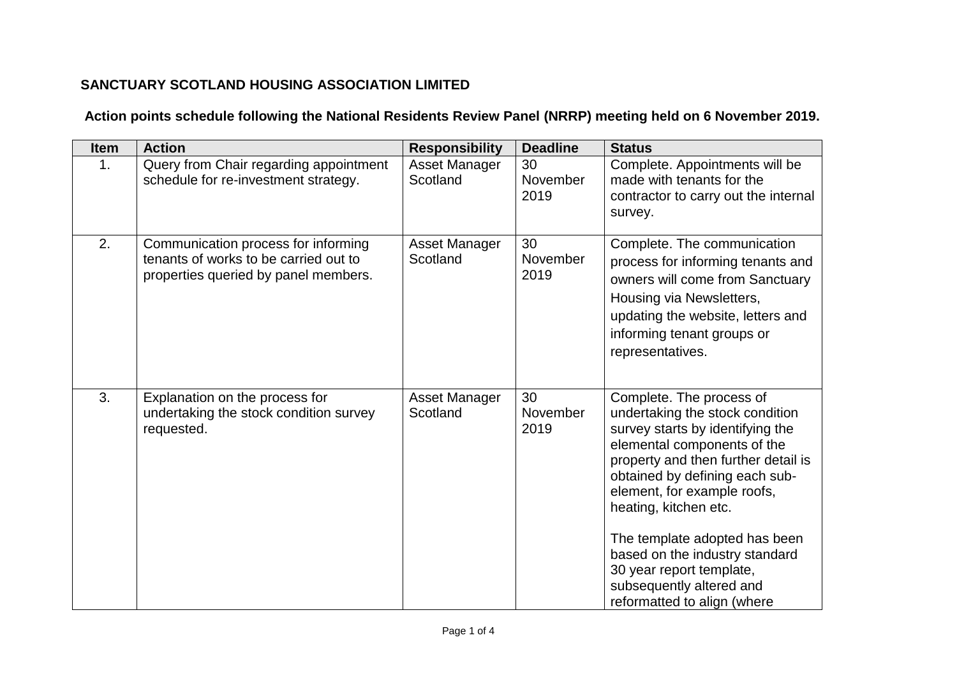## **SANCTUARY SCOTLAND HOUSING ASSOCIATION LIMITED**

## **Action points schedule following the National Residents Review Panel (NRRP) meeting held on 6 November 2019.**

| Item | <b>Action</b>                                                                                                        | <b>Responsibility</b>     | <b>Deadline</b>        | <b>Status</b>                                                                                                                                                                                                                                                                                                                                                                                                             |
|------|----------------------------------------------------------------------------------------------------------------------|---------------------------|------------------------|---------------------------------------------------------------------------------------------------------------------------------------------------------------------------------------------------------------------------------------------------------------------------------------------------------------------------------------------------------------------------------------------------------------------------|
| 1.   | Query from Chair regarding appointment<br>schedule for re-investment strategy.                                       | Asset Manager<br>Scotland | 30<br>November<br>2019 | Complete. Appointments will be<br>made with tenants for the<br>contractor to carry out the internal<br>survey.                                                                                                                                                                                                                                                                                                            |
| 2.   | Communication process for informing<br>tenants of works to be carried out to<br>properties queried by panel members. | Asset Manager<br>Scotland | 30<br>November<br>2019 | Complete. The communication<br>process for informing tenants and<br>owners will come from Sanctuary<br>Housing via Newsletters,<br>updating the website, letters and<br>informing tenant groups or<br>representatives.                                                                                                                                                                                                    |
| 3.   | Explanation on the process for<br>undertaking the stock condition survey<br>requested.                               | Asset Manager<br>Scotland | 30<br>November<br>2019 | Complete. The process of<br>undertaking the stock condition<br>survey starts by identifying the<br>elemental components of the<br>property and then further detail is<br>obtained by defining each sub-<br>element, for example roofs,<br>heating, kitchen etc.<br>The template adopted has been<br>based on the industry standard<br>30 year report template,<br>subsequently altered and<br>reformatted to align (where |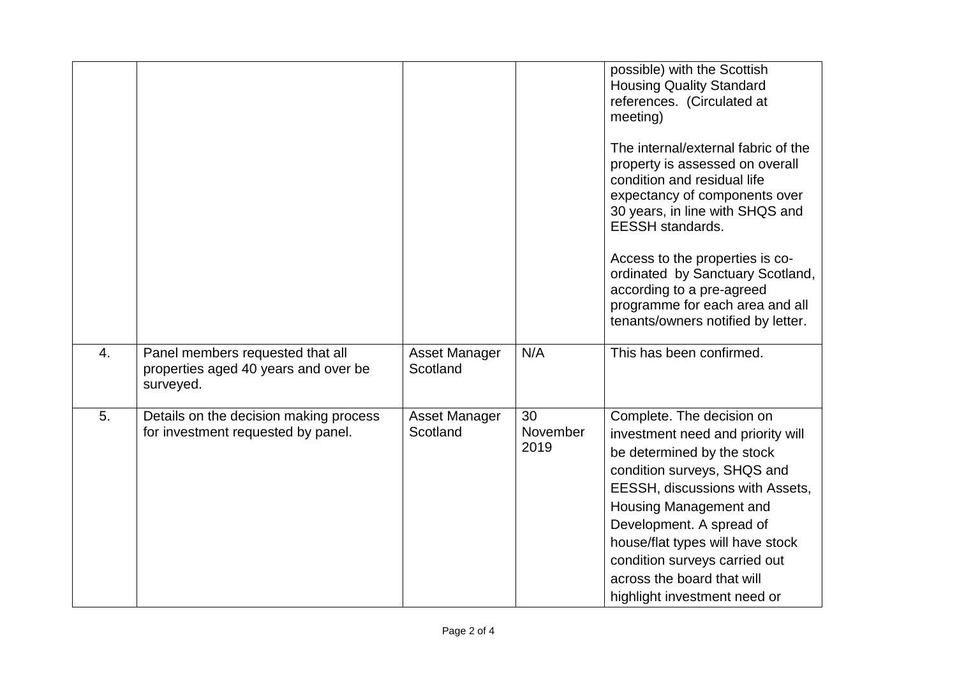|                  |                                                                                       |                                  |                        | possible) with the Scottish<br><b>Housing Quality Standard</b><br>references. (Circulated at<br>meeting)                                                                                                                                                                                                                                                |
|------------------|---------------------------------------------------------------------------------------|----------------------------------|------------------------|---------------------------------------------------------------------------------------------------------------------------------------------------------------------------------------------------------------------------------------------------------------------------------------------------------------------------------------------------------|
|                  |                                                                                       |                                  |                        | The internal/external fabric of the<br>property is assessed on overall<br>condition and residual life<br>expectancy of components over<br>30 years, in line with SHQS and<br><b>EESSH</b> standards.                                                                                                                                                    |
|                  |                                                                                       |                                  |                        | Access to the properties is co-<br>ordinated by Sanctuary Scotland,<br>according to a pre-agreed<br>programme for each area and all<br>tenants/owners notified by letter.                                                                                                                                                                               |
| $\overline{4}$ . | Panel members requested that all<br>properties aged 40 years and over be<br>surveyed. | <b>Asset Manager</b><br>Scotland | N/A                    | This has been confirmed.                                                                                                                                                                                                                                                                                                                                |
| 5.               | Details on the decision making process<br>for investment requested by panel.          | Asset Manager<br>Scotland        | 30<br>November<br>2019 | Complete. The decision on<br>investment need and priority will<br>be determined by the stock<br>condition surveys, SHQS and<br>EESSH, discussions with Assets,<br>Housing Management and<br>Development. A spread of<br>house/flat types will have stock<br>condition surveys carried out<br>across the board that will<br>highlight investment need or |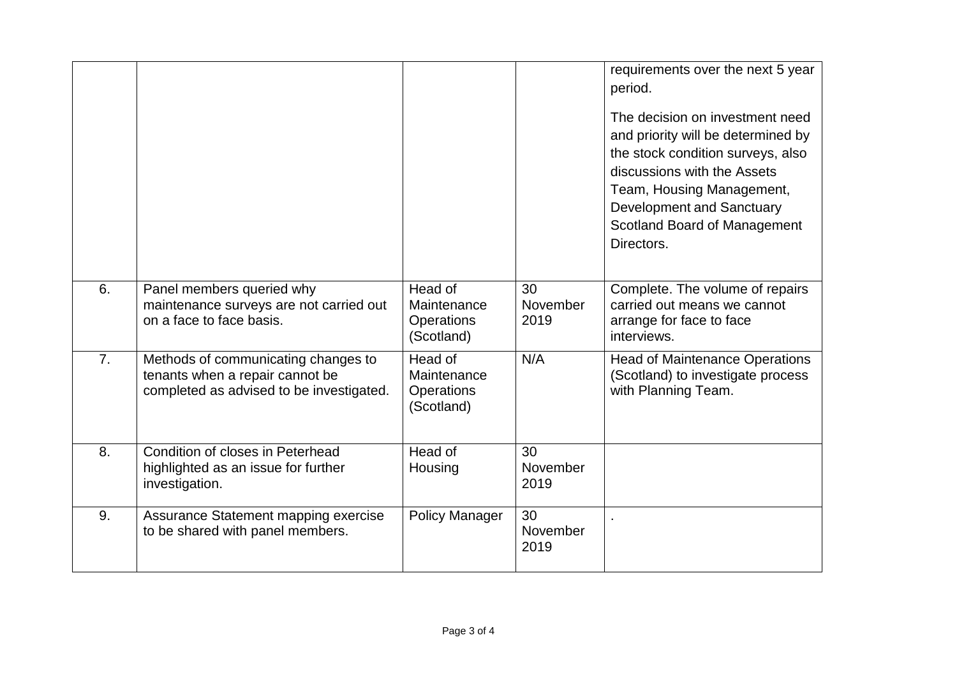|                  |                                                                                                                    |                                                    |                        | requirements over the next 5 year<br>period.<br>The decision on investment need<br>and priority will be determined by<br>the stock condition surveys, also<br>discussions with the Assets<br>Team, Housing Management,<br>Development and Sanctuary<br>Scotland Board of Management<br>Directors. |
|------------------|--------------------------------------------------------------------------------------------------------------------|----------------------------------------------------|------------------------|---------------------------------------------------------------------------------------------------------------------------------------------------------------------------------------------------------------------------------------------------------------------------------------------------|
| 6.               | Panel members queried why<br>maintenance surveys are not carried out<br>on a face to face basis.                   | Head of<br>Maintenance<br>Operations<br>(Scotland) | 30<br>November<br>2019 | Complete. The volume of repairs<br>carried out means we cannot<br>arrange for face to face<br>interviews.                                                                                                                                                                                         |
| $\overline{7}$ . | Methods of communicating changes to<br>tenants when a repair cannot be<br>completed as advised to be investigated. | Head of<br>Maintenance<br>Operations<br>(Scotland) | N/A                    | <b>Head of Maintenance Operations</b><br>(Scotland) to investigate process<br>with Planning Team.                                                                                                                                                                                                 |
| 8.               | Condition of closes in Peterhead<br>highlighted as an issue for further<br>investigation.                          | Head of<br>Housing                                 | 30<br>November<br>2019 |                                                                                                                                                                                                                                                                                                   |
| 9.               | Assurance Statement mapping exercise<br>to be shared with panel members.                                           | <b>Policy Manager</b>                              | 30<br>November<br>2019 |                                                                                                                                                                                                                                                                                                   |